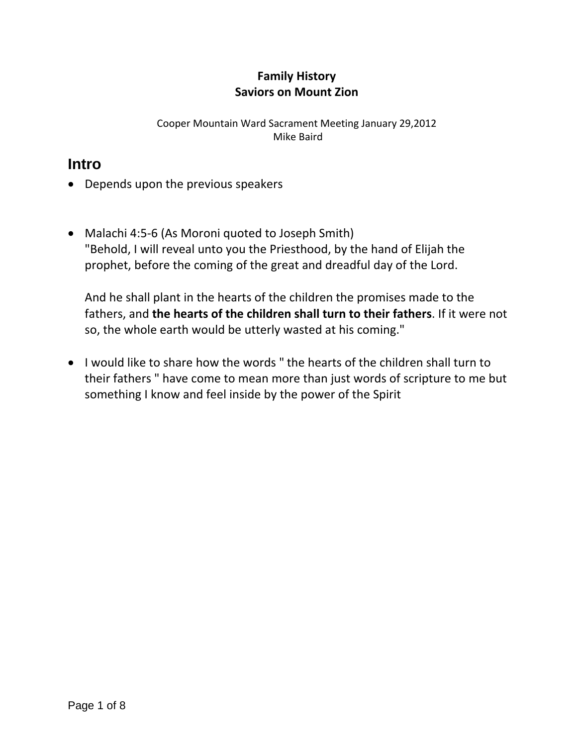## **Family History Saviors on Mount Zion**

Cooper Mountain Ward Sacrament Meeting January 29,2012 Mike Baird

## **Intro**

- Depends upon the previous speakers
- Malachi 4:5-6 (As Moroni quoted to Joseph Smith) "Behold, I will reveal unto you the Priesthood, by the hand of Elijah the prophet, before the coming of the great and dreadful day of the Lord.

And he shall plant in the hearts of the children the promises made to the fathers, and **the hearts of the children shall turn to their fathers**. If it were not so, the whole earth would be utterly wasted at his coming."

 I would like to share how the words " the hearts of the children shall turn to their fathers " have come to mean more than just words of scripture to me but something I know and feel inside by the power of the Spirit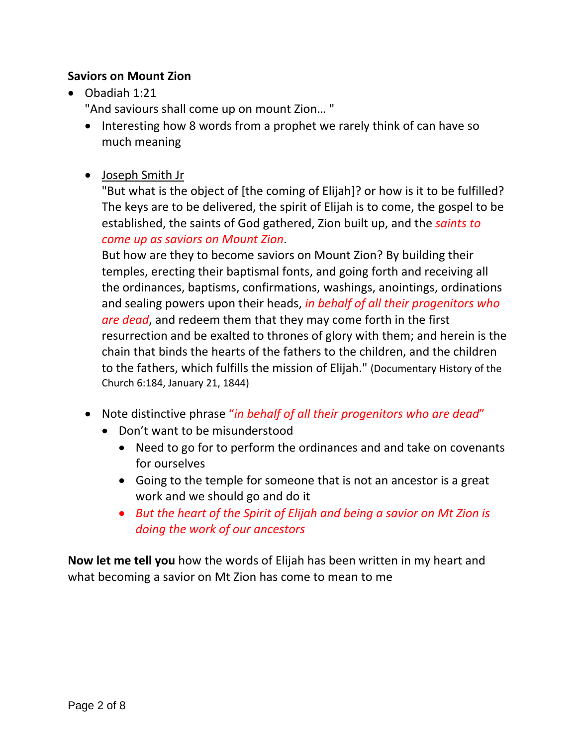## **Saviors on Mount Zion**

Obadiah 1:21

"And saviours shall come up on mount Zion… "

- Interesting how 8 words from a prophet we rarely think of can have so much meaning
- Joseph Smith Jr

"But what is the object of [the coming of Elijah]? or how is it to be fulfilled? The keys are to be delivered, the spirit of Elijah is to come, the gospel to be established, the saints of God gathered, Zion built up, and the *saints to come up as saviors on Mount Zion*.

But how are they to become saviors on Mount Zion? By building their temples, erecting their baptismal fonts, and going forth and receiving all the ordinances, baptisms, confirmations, washings, anointings, ordinations and sealing powers upon their heads, *in behalf of all their progenitors who are dead*, and redeem them that they may come forth in the first resurrection and be exalted to thrones of glory with them; and herein is the chain that binds the hearts of the fathers to the children, and the children to the fathers, which fulfills the mission of Elijah." (Documentary History of the Church 6:184, January 21, 1844)

- Note distinctive phrase "*in behalf of all their progenitors who are dead*"
	- Don't want to be misunderstood
		- Need to go for to perform the ordinances and and take on covenants for ourselves
		- Going to the temple for someone that is not an ancestor is a great work and we should go and do it
		- *But the heart of the Spirit of Elijah and being a savior on Mt Zion is doing the work of our ancestors*

**Now let me tell you** how the words of Elijah has been written in my heart and what becoming a savior on Mt Zion has come to mean to me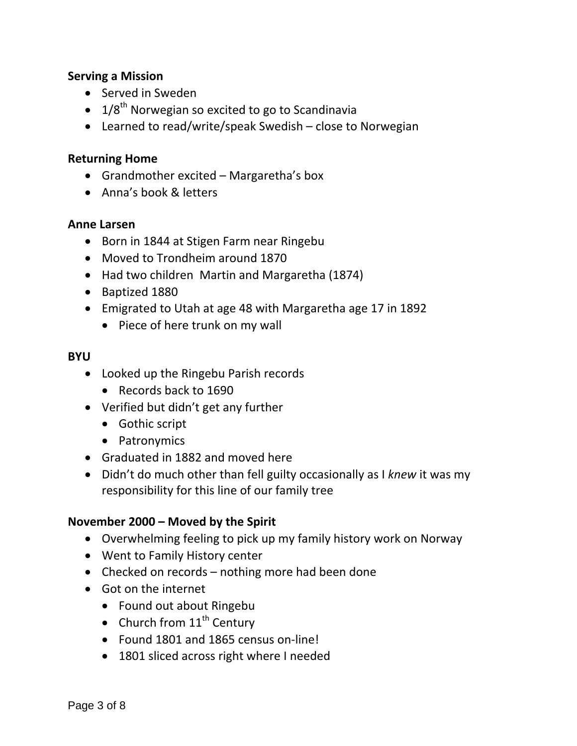#### **Serving a Mission**

- Served in Sweden
- $\bullet$  1/8<sup>th</sup> Norwegian so excited to go to Scandinavia
- Learned to read/write/speak Swedish close to Norwegian

#### **Returning Home**

- Grandmother excited Margaretha's box
- Anna's book & letters

#### **Anne Larsen**

- Born in 1844 at Stigen Farm near Ringebu
- Moved to Trondheim around 1870
- Had two children Martin and Margaretha (1874)
- Baptized 1880
- Emigrated to Utah at age 48 with Margaretha age 17 in 1892
	- Piece of here trunk on my wall

#### **BYU**

- Looked up the Ringebu Parish records
	- Records back to 1690
- Verified but didn't get any further
	- Gothic script
	- Patronymics
- Graduated in 1882 and moved here
- Didn't do much other than fell guilty occasionally as I *knew* it was my responsibility for this line of our family tree

## **November 2000 – Moved by the Spirit**

- Overwhelming feeling to pick up my family history work on Norway
- Went to Family History center
- Checked on records nothing more had been done
- Got on the internet
	- Found out about Ringebu
	- Church from  $11<sup>th</sup>$  Century
	- Found 1801 and 1865 census on-line!
	- 1801 sliced across right where I needed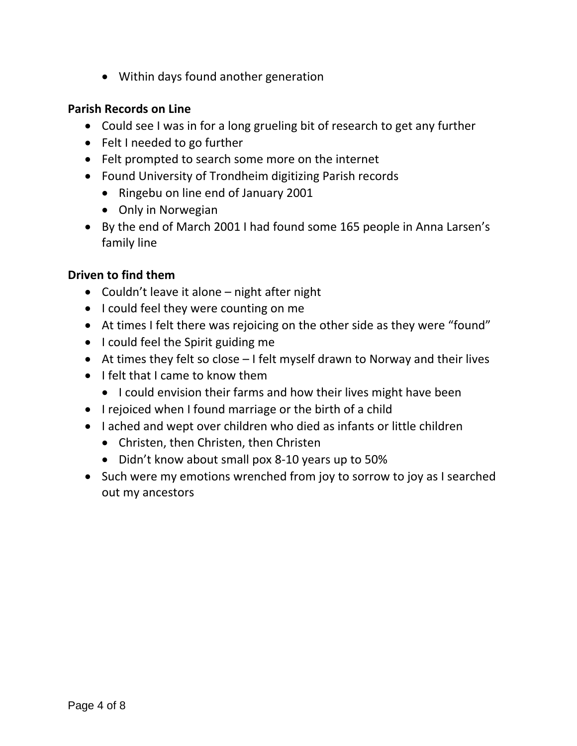Within days found another generation

#### **Parish Records on Line**

- Could see I was in for a long grueling bit of research to get any further
- Felt I needed to go further
- Felt prompted to search some more on the internet
- Found University of Trondheim digitizing Parish records
	- Ringebu on line end of January 2001
	- Only in Norwegian
- By the end of March 2001 I had found some 165 people in Anna Larsen's family line

## **Driven to find them**

- Couldn't leave it alone night after night
- I could feel they were counting on me
- At times I felt there was rejoicing on the other side as they were "found"
- I could feel the Spirit guiding me
- At times they felt so close I felt myself drawn to Norway and their lives
- $\bullet$  I felt that I came to know them
	- I could envision their farms and how their lives might have been
- I rejoiced when I found marriage or the birth of a child
- I ached and wept over children who died as infants or little children
	- Christen, then Christen, then Christen
	- Didn't know about small pox 8-10 years up to 50%
- Such were my emotions wrenched from joy to sorrow to joy as I searched out my ancestors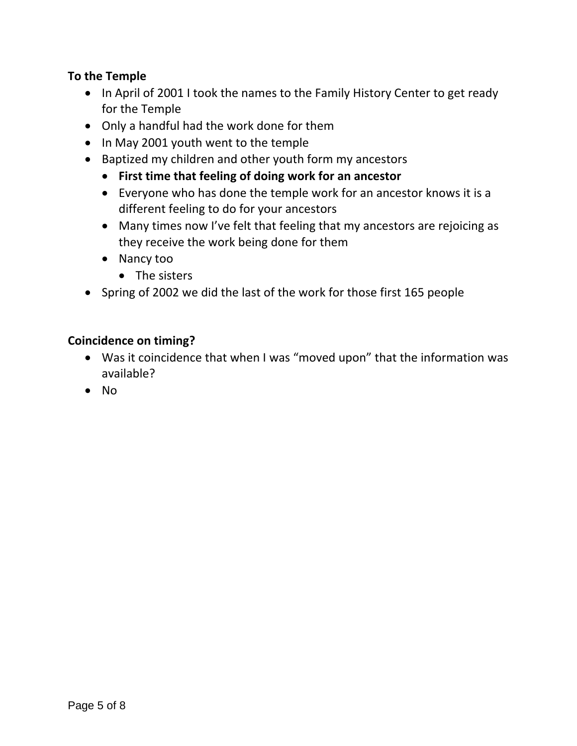## **To the Temple**

- In April of 2001 I took the names to the Family History Center to get ready for the Temple
- Only a handful had the work done for them
- In May 2001 youth went to the temple
- Baptized my children and other youth form my ancestors
	- **First time that feeling of doing work for an ancestor**
	- Everyone who has done the temple work for an ancestor knows it is a different feeling to do for your ancestors
	- Many times now I've felt that feeling that my ancestors are rejoicing as they receive the work being done for them
	- Nancy too
		- The sisters
- Spring of 2002 we did the last of the work for those first 165 people

#### **Coincidence on timing?**

- Was it coincidence that when I was "moved upon" that the information was available?
- $\bullet$  No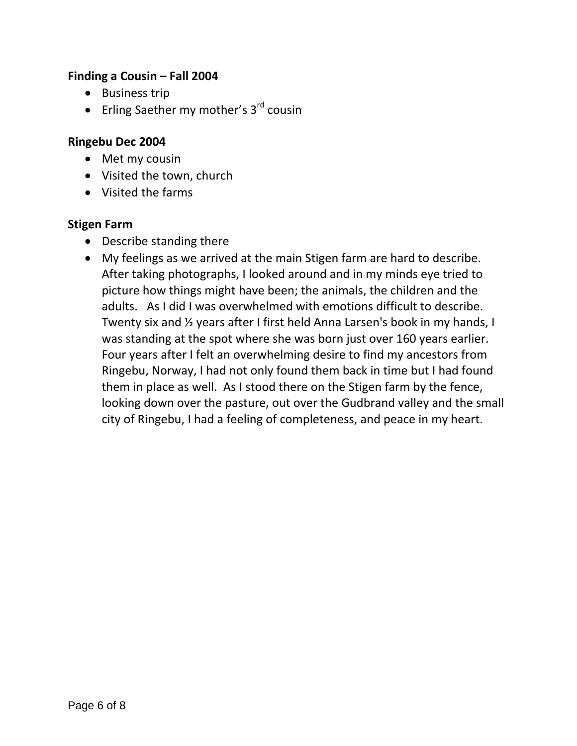## **Finding a Cousin – Fall 2004**

- Business trip
- **•** Erling Saether my mother's  $3^{rd}$  cousin

#### **Ringebu Dec 2004**

- Met my cousin
- Visited the town, church
- Visited the farms

#### **Stigen Farm**

- Describe standing there
- My feelings as we arrived at the main Stigen farm are hard to describe. After taking photographs, I looked around and in my minds eye tried to picture how things might have been; the animals, the children and the adults. As I did I was overwhelmed with emotions difficult to describe. Twenty six and ½ years after I first held Anna Larsen's book in my hands, I was standing at the spot where she was born just over 160 years earlier. Four years after I felt an overwhelming desire to find my ancestors from Ringebu, Norway, I had not only found them back in time but I had found them in place as well. As I stood there on the Stigen farm by the fence, looking down over the pasture, out over the Gudbrand valley and the small city of Ringebu, I had a feeling of completeness, and peace in my heart.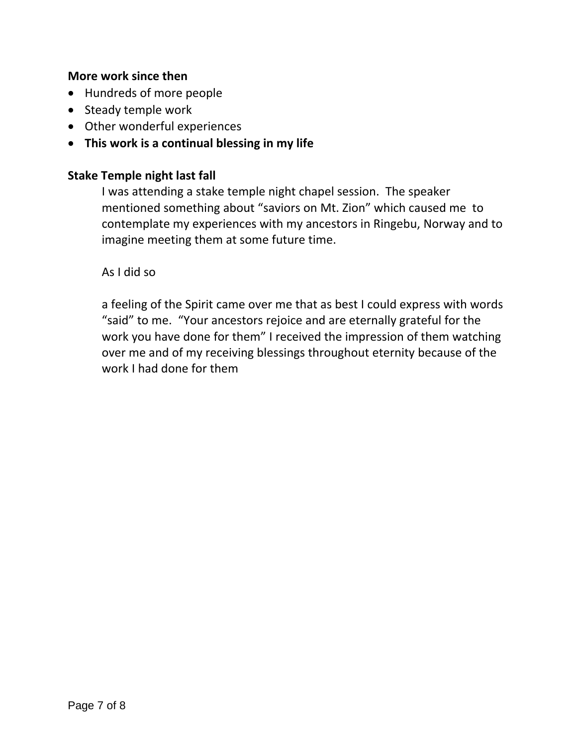#### **More work since then**

- Hundreds of more people
- Steady temple work
- Other wonderful experiences
- **This work is a continual blessing in my life**

## **Stake Temple night last fall**

I was attending a stake temple night chapel session. The speaker mentioned something about "saviors on Mt. Zion" which caused me to contemplate my experiences with my ancestors in Ringebu, Norway and to imagine meeting them at some future time.

As I did so

a feeling of the Spirit came over me that as best I could express with words "said" to me. "Your ancestors rejoice and are eternally grateful for the work you have done for them" I received the impression of them watching over me and of my receiving blessings throughout eternity because of the work I had done for them